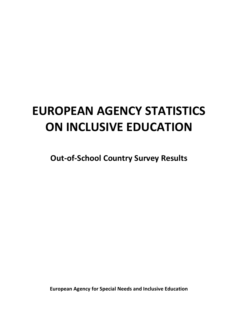# **EUROPEAN AGENCY STATISTICS ON INCLUSIVE EDUCATION**

**Out-of-School Country Survey Results**

**European Agency for Special Needs and Inclusive Education**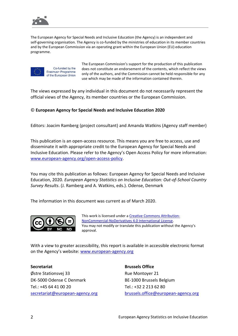

The European Agency for Special Needs and Inclusive Education (the Agency) is an independent and self-governing organisation. The Agency is co-funded by the ministries of education in its member countries and by the European Commission via an operating grant within the European Union (EU) education programme.



Co-funded by the Erasmus+ Programme of the European Union The European Commission's support for the production of this publication does not constitute an endorsement of the contents, which reflect the views only of the authors, and the Commission cannot be held responsible for any use which may be made of the information contained therein.

The views expressed by any individual in this document do not necessarily represent the official views of the Agency, its member countries or the European Commission.

#### © **European Agency for Special Needs and Inclusive Education 2020**

Editors: Joacim Ramberg (project consultant) and Amanda Watkins (Agency staff member)

This publication is an open-access resource. This means you are free to access, use and disseminate it with appropriate credit to the European Agency for Special Needs and Inclusive Education. Please refer to the Agency's Open Access Policy for more information: [www.european-agency.org/open-access-policy.](http://www.european-agency.org/open-access-policy)

You may cite this publication as follows: European Agency for Special Needs and Inclusive Education, 2020. *European Agency Statistics on Inclusive Education: Out-of-School Country Survey Results*. (J. Ramberg and A. Watkins, eds.). Odense, Denmark

The information in this document was current as of March 2020.



This work is licensed under [a Creative Commons Attribution-](https://creativecommons.org/licenses/by-nc-nd/4.0/)[NonCommercial-NoDerivatives 4.0 International License.](https://creativecommons.org/licenses/by-nc-nd/4.0/) You may not modify or translate this publication without the Agency's approval.

With a view to greater accessibility, this report is available in accessible electronic format on the Agency's website: [www.european-agency.org](http://www.european-agency.org/)

#### **Secretariat**

Østre Stationsvej 33 DK-5000 Odense C Denmark Tel.: +45 64 41 00 20 [secretariat@european-agency.org](mailto:secretariat@european-agency.org) **Brussels Office** Rue Montoyer 21 BE-1000 Brussels Belgium Tel.: +32 2 213 62 80 [brussels.office@european-agency.org](mailto:brussels.office@european-agency.org)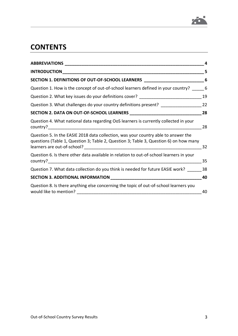

# **CONTENTS**

| <b>ABBREVIATIONS</b> __                                                                                                                                                     | 4  |
|-----------------------------------------------------------------------------------------------------------------------------------------------------------------------------|----|
|                                                                                                                                                                             | 5. |
| SECTION 1. DEFINITIONS OF OUT-OF-SCHOOL LEARNERS                                                                                                                            | 6  |
| Question 1. How is the concept of out-of-school learners defined in your country?                                                                                           | 6  |
| Question 2. What key issues do your definitions cover? _________________________                                                                                            | 19 |
| Question 3. What challenges do your country definitions present? ______________                                                                                             | 22 |
|                                                                                                                                                                             | 28 |
| Question 4. What national data regarding OoS learners is currently collected in your                                                                                        | 28 |
| Question 5. In the EASIE 2018 data collection, was your country able to answer the<br>questions (Table 1, Question 3; Table 2, Question 3; Table 3, Question 6) on how many | 32 |
| Question 6. Is there other data available in relation to out-of-school learners in your<br>country?                                                                         | 35 |
| Question 7. What data collection do you think is needed for future EASIE work?                                                                                              | 38 |
|                                                                                                                                                                             | 40 |
| Question 8. Is there anything else concerning the topic of out-of-school learners you<br>would like to mention?                                                             | 40 |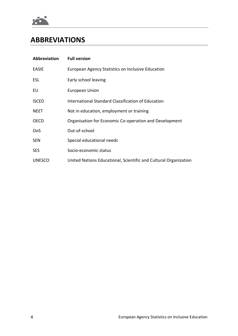

# <span id="page-3-0"></span>**ABBREVIATIONS**

| Abbreviation  | <b>Full version</b>                                              |
|---------------|------------------------------------------------------------------|
| <b>EASIE</b>  | European Agency Statistics on Inclusive Education                |
| <b>ESL</b>    | Early school leaving                                             |
| EU            | <b>European Union</b>                                            |
| <b>ISCED</b>  | International Standard Classification of Education               |
| <b>NEET</b>   | Not in education, employment or training                         |
| <b>OECD</b>   | Organisation for Economic Co-operation and Development           |
| OoS           | Out-of-school                                                    |
| <b>SEN</b>    | Special educational needs                                        |
| <b>SES</b>    | Socio-economic status                                            |
| <b>UNESCO</b> | United Nations Educational, Scientific and Cultural Organization |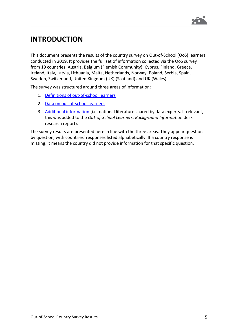

# <span id="page-4-0"></span>**INTRODUCTION**

This document presents the results of the country survey on Out-of-School (OoS) learners, conducted in 2019. It provides the full set of information collected via the OoS survey from 19 countries: Austria, Belgium (Flemish Community), Cyprus, Finland, Greece, Ireland, Italy, Latvia, Lithuania, Malta, Netherlands, Norway, Poland, Serbia, Spain, Sweden, Switzerland, United Kingdom (UK) (Scotland) and UK (Wales).

The survey was structured around three areas of information:

- 1. [Definitions of out-of-school learners](#page-5-0)
- 2. [Data on out-of-school learners](#page-27-0)
- 3. [Additional information](#page-39-0) (i.e. national literature shared by data experts. If relevant, this was added to the *Out-of-School Learners: Background Information* desk research report).

The survey results are presented here in line with the three areas. They appear question by question, with countries' responses listed alphabetically. If a country response is missing, it means the country did not provide information for that specific question.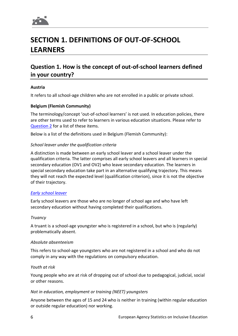

# <span id="page-5-0"></span>**SECTION 1. DEFINITIONS OF OUT-OF-SCHOOL LEARNERS**

## <span id="page-5-1"></span>**Question 1. How is the concept of out-of-school learners defined in your country?**

#### **Austria**

It refers to all school-age children who are not enrolled in a public or private school.

#### **Belgium (Flemish Community)**

The terminology/concept 'out-of-school learners' is not used. In education policies, there are other terms used to refer to learners in various education situations. Please refer to [Question](#page-18-0) 2 for a list of these items.

Below is a list of the definitions used in Belgium (Flemish Community):

#### *School leaver under the qualification criteria*

A distinction is made between an early school leaver and a school leaver under the qualification criteria. The latter comprises all early school leavers and all learners in special secondary education (OV1 and OV2) who leave secondary education. The learners in special secondary education take part in an alternative qualifying trajectory. This means they will not reach the expected level (qualification criterion), since it is not the objective of their trajectory.

#### *[Early school leaver](https://onderwijs.vlaanderen.be/nl/vroegtijdig-schoolverlaten-in-het-vlaams-secundair-onderwijs)*

Early school leavers are those who are no longer of school age and who have left secondary education without having completed their qualifications.

#### *Truancy*

A truant is a school-age youngster who is registered in a school, but who is (regularly) problematically absent.

#### *Absolute absenteeism*

This refers to school-age youngsters who are not registered in a school and who do not comply in any way with the regulations on compulsory education.

#### *Youth at risk*

Young people who are at risk of dropping out of school due to pedagogical, judicial, social or other reasons.

#### *Not in education, employment or training (NEET) youngsters*

Anyone between the ages of 15 and 24 who is neither in training (within regular education or outside regular education) nor working.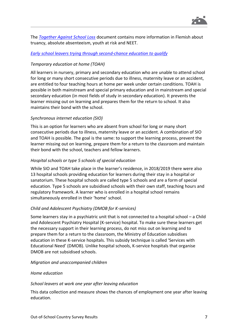

The *[Together Against School Loss](https://onderwijs.vlaanderen.be/sites/default/files/atoms/files/conceptnota_Samen_tegen_SchooluitvalDEF.pdf)* document contains more information in Flemish about truancy, absolute absenteeism, youth at risk and NEET.

#### *[Early school leavers trying through second-chance education to qualify](https://www.onderwijs.vlaanderen.be/sites/default/files/atoms/files/RapportTweedekansLeerwegenPDF.pdf)*

#### *Temporary education at home (TOAH)*

All learners in nursery, primary and secondary education who are unable to attend school for long or many short consecutive periods due to illness, maternity leave or an accident, are entitled to four teaching hours at home per week under certain conditions. TOAH is possible in both mainstream and special primary education and in mainstream and special secondary education (in most fields of study in secondary education). It prevents the learner missing out on learning and prepares them for the return to school. It also maintains their bond with the school.

#### *Synchronous internet education (SIO)*

This is an option for learners who are absent from school for long or many short consecutive periods due to illness, maternity leave or an accident. A combination of SIO and TOAH is possible. The goal is the same: to support the learning process, prevent the learner missing out on learning, prepare them for a return to the classroom and maintain their bond with the school, teachers and fellow learners.

#### *Hospital schools or type 5 schools of special education*

While SIO and TOAH take place in the learner's residence, in 2018/2019 there were also 13 hospital schools providing education for learners during their stay in a hospital or sanatorium. These hospital schools are called type 5 schools and are a form of special education. Type 5 schools are subsidised schools with their own staff, teaching hours and regulatory framework. A learner who is enrolled in a hospital school remains simultaneously enrolled in their 'home' school.

#### *Child and Adolescent Psychiatry (DMOB for K-services)*

Some learners stay in a psychiatric unit that is not connected to a hospital school – a Child and Adolescent Psychiatry Hospital (K-service) hospital. To make sure these learners get the necessary support in their learning process, do not miss out on learning and to prepare them for a return to the classroom, the Ministry of Education subsidises education in these K-service hospitals. This subsidy technique is called 'Services with Educational Need' (DMOB). Unlike hospital schools, K-service hospitals that organise DMOB are not subsidised schools.

#### *Migration and unaccompanied children*

#### *Home education*

#### *School leavers at work one year after leaving education*

This data collection and measure shows the chances of employment one year after leaving education.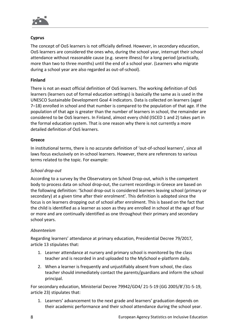

#### **Cyprus**

The concept of OoS learners is not officially defined. However, in secondary education, OoS learners are considered the ones who, during the school year, interrupt their school attendance without reasonable cause (e.g. severe illness) for a long period (practically, more than two to three months) until the end of a school year. (Learners who migrate during a school year are also regarded as out-of-school).

#### **Finland**

There is not an exact official definition of OoS learners. The working definition of OoS learners (learners out of formal education settings) is basically the same as is used in the UNESCO Sustainable Development Goal 4 indicators. Data is collected on learners (aged 7–18) enrolled in school and that number is compared to the population of that age. If the population of that age is greater than the number of learners in school, the remainder are considered to be OoS learners. In Finland, almost every child (ISCED 1 and 2) takes part in the formal education system. That is one reason why there is not currently a more detailed definition of OoS learners.

#### **Greece**

In institutional terms, there is no accurate definition of 'out-of-school learners', since all laws focus exclusively on in-school learners. However, there are references to various terms related to the topic. For example:

#### *School drop-out*

According to a survey by the Observatory on School Drop-out, which is the competent body to process data on school drop-out, the current recordings in Greece are based on the following definition: 'School drop-out is considered learners leaving school (primary or secondary) at a given time after their enrolment'. This definition is adopted since the focus is on learners dropping out of school after enrolment. This is based on the fact that the child is identified as a learner as soon as they are enrolled in school at the age of four or more and are continually identified as one throughout their primary and secondary school years.

#### *Absenteeism*

Regarding learners' attendance at primary education, Presidential Decree 79/2017, article 13 stipulates that:

- 1. Learner attendance at nursery and primary school is monitored by the class teacher and is recorded in and uploaded to the MySchool e-platform daily.
- 2. When a learner is frequently and unjustifiably absent from school, the class teacher should immediately contact the parents/guardians and inform the school principal.

For secondary education, Ministerial Decree 79942/GD4/ 21-5-19 (GG 2005/B'/31-5-19, article 23) stipulates that:

1. Learners' advancement to the next grade and learners' graduation depends on their academic performance and their school attendance during the school year.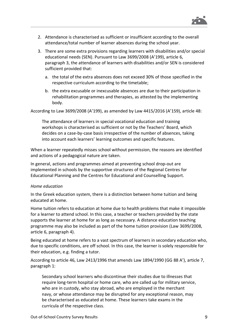

- 2. Attendance is characterised as sufficient or insufficient according to the overall attendance/total number of learner absences during the school year.
- 3. There are some extra provisions regarding learners with disabilities and/or special educational needs (SEN). Pursuant to Law 3699/2008 (A'199), article 6, paragraph 3, the attendance of learners with disabilities and/or SEN is considered sufficient provided that:
	- a. the total of the extra absences does not exceed 30% of those specified in the respective curriculum according to the timetable;
	- b. the extra excusable or inexcusable absences are due to their participation in rehabilitation programmes and therapies, as attested by the implementing body.

According to Law 3699/2008 (A'199), as amended by Law 4415/2016 (A'159), article 48:

The attendance of learners in special vocational education and training workshops is characterised as sufficient or not by the Teachers' Board, which decides on a case-by-case basis irrespective of the number of absences, taking into account each learners' learning outcomes and specific features.

When a learner repeatedly misses school without permission, the reasons are identified and actions of a pedagogical nature are taken.

In general, actions and programmes aimed at preventing school drop-out are implemented in schools by the supportive structures of the Regional Centres for Educational Planning and the Centres for Educational and Counselling Support.

#### *Home education*

In the Greek education system, there is a distinction between home tuition and being educated at home.

Home tuition refers to education at home due to health problems that make it impossible for a learner to attend school. In this case, a teacher or teachers provided by the state supports the learner at home for as long as necessary. A distance education teaching programme may also be included as part of the home tuition provision (Law 3699/2008, article 6, paragraph 4).

Being educated at home refers to a vast spectrum of learners in secondary education who, due to specific conditions, are off school. In this case, the learner is solely responsible for their education, e.g. finding a tutor.

According to article 46, Law 2413/1996 that amends Law 1894/1990 (GG 88 A'), article 7, paragraph 1:

Secondary school learners who discontinue their studies due to illnesses that require long-term hospital or home care, who are called up for military service, who are in custody, who stay abroad, who are employed in the merchant navy, or whose attendance may be disrupted for any exceptional reason, may be characterised as educated at home. These learners take exams in the curricula of the respective class.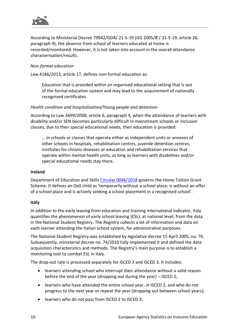

According to Ministerial Decree 79942/GD4/ 21-5-19 (GG 2005/B'/ 31-5-19, article 26, paragraph 9), the absence from school of learners educated at home is recorded/monitored. However, it is not taken into account in the overall attendance characterisation/results.

#### *Non-formal education*

Law 4186/2013, article 17, defines non-formal education as:

Education that is provided within an organised educational setting that is out of the formal education system and may lead to the acquirement of nationally recognised certificates.

#### *Health condition and hospitalisation/Young people and detention*

According to Law 3699/2008, article 6, paragraph 4, when the attendance of learners with disability and/or SEN becomes particularly difficult in mainstream schools or inclusion classes, due to their special educational needs, their education is provided:

… in schools or classes that operate either as independent units or annexes of other schools in hospitals, rehabilitation centres, juvenile detention centres, institutes for chronic diseases or education and rehabilitation services that operate within mental health units, as long as learners with disabilities and/or special educational needs stay there.

#### **Ireland**

Department of Education and Skills Circular [0046/2018](https://www.education.ie/en/Circulars-and-Forms/Archived-Circulars/cl0046_2018.pdf) governs the Home Tuition Grant Scheme. It defines an OoS child as 'temporarily without a school place; is without an offer of a school place and is actively seeking a school placement in a recognised school'.

#### **Italy**

In addition to the early leaving from education and training international indicator, Italy quantifies the phenomenon of early school leaving (ESL), at national level, from the data in the National Student Registry. The Registry collects a lot of information and data on each learner attending the Italian school system, for administrative purposes.

The National Student Registry was established by legislative decree 15 April 2005, no. 76. Subsequently, ministerial decree no. 74/2010 fully implemented it and defined the data acquisition characteristics and methods. The Registry's main purpose is to establish a monitoring tool to combat ESL in Italy.

The drop-out rate is processed separately for ISCED 2 and ISCED 3. It includes:

- learners attending school who interrupt their attendance without a valid reason before the end of the year (dropping out during the year) – ISCED 2;
- learners who have attended the entire school year, in ISCED 2, and who do not progress to the next year or repeat the year (dropping out between school years);
- learners who do not pass from ISCED 2 to ISCED 3;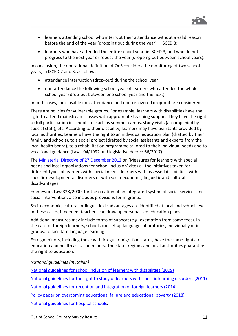

- learners attending school who interrupt their attendance without a valid reason before the end of the year (dropping out during the year) – ISCED 3;
- learners who have attended the entire school year, in ISCED 3, and who do not progress to the next year or repeat the year (dropping out between school years).

In conclusion, the operational definition of OoS considers the monitoring of two school years, in ISCED 2 and 3, as follows:

- attendance interruption (drop-out) during the school year;
- non-attendance the following school year of learners who attended the whole school year (drop-out between one school year and the next).

In both cases, inexcusable non-attendance and non-recovered drop-out are considered.

There are policies for vulnerable groups. For example, learners with disabilities have the right to attend mainstream classes with appropriate teaching support. They have the right to full participation in school life, such as summer camps, study visits (accompanied by special staff), etc. According to their disability, learners may have assistants provided by local authorities. Learners have the right to an individual education plan (drafted by their family and schools), to a social project (drafted by social assistants and experts from the local health board), to a rehabilitation programme tailored to their individual needs and to vocational guidance (Law 104/1992 and legislative decree 66/2017).

The [Ministerial Directive of 27](https://www.miur.gov.it/documents/20182/0/Direttiva+Ministeriale+27+Dicembre+2012.pdf/e1ee3673-cf97-441c-b14d-7ae5f386c78c?version=1.1&t=1496144766837) December 2012 on 'Measures for learners with special needs and local organisations for school inclusion' cites all the initiatives taken for different types of learners with special needs: learners with assessed disabilities, with specific developmental disorders or with socio-economic, linguistic and cultural disadvantages.

Framework Law 328/2000, for the creation of an integrated system of social services and social intervention, also includes provisions for migrants.

Socio-economic, cultural or linguistic disadvantages are identified at local and school level. In these cases, if needed, teachers can draw up personalised education plans.

Additional measures may include forms of support (e.g. exemption from some fees). In the case of foreign learners, schools can set up language laboratories, individually or in groups, to facilitate language learning.

Foreign minors, including those with irregular migration status, have the same rights to education and health as Italian minors. The state, regions and local authorities guarantee the right to education.

<span id="page-10-0"></span>*National guidelines (in Italian)*

[National guidelines for school inclusion of learners with disabilities \(2009\)](http://www.edscuola.it/archivio/norme/circolari/nota_4_agosto_09.pdf)

[National guidelines for the right to study of learners with specific learning disorders \(2011\)](https://www.miur.gov.it/documents/20182/187572/Linee+guida+per+il+diritto+allo+studio+degli+alunni+e+degli+studenti+con+disturbi+specifici+di+apprendimento.pdf/663faecd-cd6a-4fe0-84f8-6e716b45b37e?version=1.0&t=1495447020459)

[National guidelines for reception and integration of foreign learners \(2014\)](http://www.istruzione.it/allegati/2014/linee_guida_integrazione_alunni_stranieri.pdf)

[Policy paper on overcoming educational failure and educational poverty \(2018\)](https://www.miur.gov.it/documents/20182/0/Rapporto+sul+contrasto+del+fallimento+formativo/7575f155-63f9-479a-a77f-1da743492e92?version=1.0)

[National guidelines for hospital schools.](https://www.miur.gov.it/documents/20182/0/Linee+di+indirizzo+nazionali+%28formato+pdf%29.pdf/1b619d68-ad9b-12ae-2865-f1774ed7dcfc?version=1.0&t=1560340286448)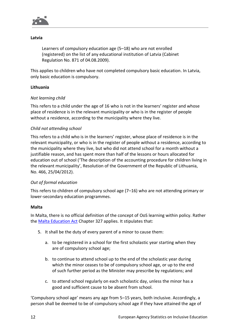

#### **Latvia**

Learners of compulsory education age (5–18) who are not enrolled (registered) on the list of any educational institution of Latvia (Cabinet Regulation No. 871 of 04.08.2009).

This applies to children who have not completed compulsory basic education. In Latvia, only basic education is compulsory.

#### **Lithuania**

#### *Not learning child*

This refers to a child under the age of 16 who is not in the learners' register and whose place of residence is in the relevant municipality or who is in the register of people without a residence, according to the municipality where they live.

#### *Child not attending school*

This refers to a child who is in the learners' register, whose place of residence is in the relevant municipality, or who is in the register of people without a residence, according to the municipality where they live, but who did not attend school for a month without a justifiable reason, and has spent more than half of the lessons or hours allocated for education out of school ('The description of the accounting procedure for children living in the relevant municipality', Resolution of the Government of the Republic of Lithuania, No. 466, 25/04/2012).

#### *Out of formal education*

This refers to children of compulsory school age (7–16) who are not attending primary or lower-secondary education programmes.

#### **Malta**

In Malta, there is no official definition of the concept of OoS learning within policy. Rather the [Malta Education Act](http://www.justiceservices.gov.mt/downloaddocument.aspx?app=lom&itemid=8801) Chapter 327 applies. It stipulates that:

- 5. It shall be the duty of every parent of a minor to cause them:
	- a. to be registered in a school for the first scholastic year starting when they are of compulsory school age;
	- b. to continue to attend school up to the end of the scholastic year during which the minor ceases to be of compulsory school age, or up to the end of such further period as the Minister may prescribe by regulations; and
	- c. to attend school regularly on each scholastic day, unless the minor has a good and sufficient cause to be absent from school.

'Compulsory school age' means any age from 5–15 years, both inclusive. Accordingly, a person shall be deemed to be of compulsory school age if they have attained the age of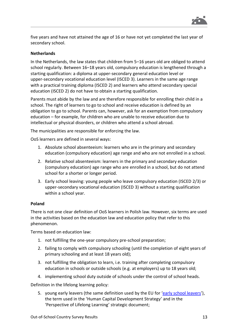

five years and have not attained the age of 16 or have not yet completed the last year of secondary school.

#### **Netherlands**

In the Netherlands, the law states that children from 5–16 years old are obliged to attend school regularly. Between 16–18 years old, compulsory education is lengthened through a starting qualification: a diploma at upper-secondary general education level or upper-secondary vocational education level (ISCED 3). Learners in the same age range with a practical training diploma (ISCED 2) and learners who attend secondary special education (ISCED 2) do not have to obtain a starting qualification.

Parents must abide by the law and are therefore responsible for enrolling their child in a school. The right of learners to go to school and receive education is defined by an obligation to go to school. Parents can, however, ask for an exemption from compulsory education – for example, for children who are unable to receive education due to intellectual or physical disorders, or children who attend a school abroad.

The municipalities are responsible for enforcing the law.

OoS learners are defined in several ways:

- 1. Absolute school absenteeism: learners who are in the primary and secondary education (compulsory education) age range and who are not enrolled in a school.
- 2. Relative school absenteeism: learners in the primary and secondary education (compulsory education) age range who are enrolled in a school, but do not attend school for a shorter or longer period.
- 3. Early school leaving: young people who leave compulsory education (ISCED 2/3) or upper-secondary vocational education (ISCED 3) without a starting qualification within a school year.

#### **Poland**

There is not one clear definition of OoS learners in Polish law. However, six terms are used in the activities based on the education law and education policy that refer to this phenomenon.

Terms based on education law:

- 1. not fulfilling the one-year compulsory pre-school preparation;
- 2. failing to comply with compulsory schooling (until the completion of eight years of primary schooling and at least 18 years old);
- 3. not fulfilling the obligation to learn, i.e. training after completing compulsory education in schools or outside schools (e.g. at employers) up to 18 years old;
- 4. implementing school duty outside of schools under the control of school heads.

Definition in the lifelong learning policy:

5. young early leavers (the same definition used by the EU for '[early school leavers](https://ec.europa.eu/eurostat/statistics-explained/index.php?title=Glossary:Early_school_leaver)'), the term used in the 'Human Capital Development Strategy' and in the 'Perspective of Lifelong Learning' strategic document;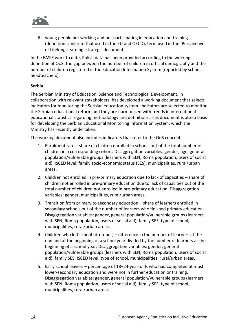

6. young people not working and not participating in education and training (definition similar to that used in the EU and OECD), term used in the 'Perspective of Lifelong Learning' strategic document.

In the EASIE work to date, Polish data has been provided according to the working definition of OoS: the gap between the number of children in official demography and the number of children registered in the Education Information System (reported by school headteachers).

#### **Serbia**

The Serbian Ministry of Education, Science and Technological Development, in collaboration with relevant stakeholders, has developed a working document that selects indicators for monitoring the Serbian education system. Indicators are selected to monitor the Serbian educational reform and they are harmonised with trends in international educational statistics regarding methodology and definitions. This document is also a basis for developing the Serbian Educational Monitoring Information System, which the Ministry has recently undertaken.

The working document also includes indicators that refer to the OoS concept:

- 1. Enrolment rate share of children enrolled in schools out of the total number of children in a corresponding cohort. Disaggregation variables: gender, age, general population/vulnerable groups (learners with SEN, Roma population, users of social aid), ISCED level, family socio-economic status (SES), municipalities, rural/urban areas.
- 2. Children not enrolled in pre-primary education due to lack of capacities share of children not enrolled in pre-primary education due to lack of capacities out of the total number of children not enrolled in pre-primary education. Disaggregation variables: gender, municipalities, rural/urban areas.
- 3. Transition from primary to secondary education share of learners enrolled in secondary schools out of the number of learners who finished primary education. Disaggregation variables: gender, general population/vulnerable groups (learners with SEN, Roma population, users of social aid), family SES, type of school, municipalities, rural/urban areas.
- 4. Children who left school (drop-out) difference in the number of learners at the end and at the beginning of a school year divided by the number of learners at the beginning of a school year. Disaggregation variables: gender, general population/vulnerable groups (learners with SEN, Roma population, users of social aid), family SES, ISCED level, type of school, municipalities, rural/urban areas.
- 5. Early school leavers percentage of 18–24-year-olds who had completed at most lower-secondary education and were not in further education or training. Disaggregation variables: gender, general population/vulnerable groups (learners with SEN, Roma population, users of social aid), family SES, type of school, municipalities, rural/urban areas.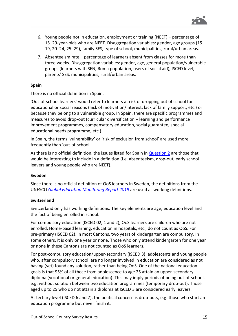

- 6. Young people not in education, employment or training (NEET) percentage of 15–29-year-olds who are NEET. Disaggregation variables: gender, age groups (15– 19, 20–24, 25–29), family SES, type of school, municipalities, rural/urban areas.
- 7. Absenteeism rate percentage of learners absent from classes for more than three weeks. Disaggregation variables: gender, age, general population/vulnerable groups (learners with SEN, Roma population, users of social aid), ISCED level, parents' SES, municipalities, rural/urban areas.

#### **Spain**

There is no official definition in Spain.

'Out-of-school learners' would refer to learners at risk of dropping out of school for educational or social reasons (lack of motivation/interest, lack of family support, etc.) or because they belong to a vulnerable group. In Spain, there are specific programmes and measures to avoid drop-out (curricular diversification – learning and performance improvement programmes, compensatory education, social guarantee, special educational needs programme, etc.).

In Spain, the terms 'vulnerability' or 'risk of exclusion from school' are used more frequently than 'out-of-school'.

As there is no official definition, the issues listed for Spain in [Question](#page-18-0) 2 are those that would be interesting to include in a definition (i.e. absenteeism, drop-out, early school leavers and young people who are NEET).

#### **Sweden**

Since there is no official definition of OoS learners in Sweden, the definitions from the UNESCO *[Global Education Monitoring Report 2019](https://gem-report-2019.unesco.org/)* are used as working definitions.

#### **Switzerland**

Switzerland only has working definitions. The key elements are age, education level and the fact of being enrolled in school.

For compulsory education (ISCED 02, 1 and 2), OoS learners are children who are not enrolled. Home-based learning, education in hospitals, etc., do not count as OoS. For pre-primary (ISCED 02), in most Cantons, two years of kindergarten are compulsory. In some others, it is only one year or none. Those who only attend kindergarten for one year or none in these Cantons are not counted as OoS learners.

For post-compulsory education/upper-secondary (ISCED 3), adolescents and young people who, after compulsory school, are no longer involved in education are considered as not having (yet) found any solution, rather than being OoS. One of the national education goals is that 95% of all those from adolescence to age 25 attain an upper-secondary diploma (vocational or general education). This may imply periods of being out-of-school, e.g. without solution between two education programmes (temporary drop-out). Those aged up to 25 who do not attain a diploma at ISCED 3 are considered early leavers.

At tertiary level (ISCED 6 and 7), the political concern is drop-outs, e.g. those who start an education programme but never finish it.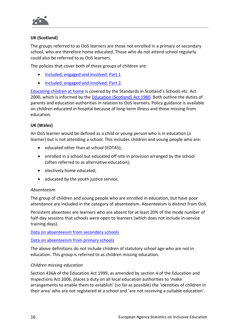

#### **UK (Scotland)**

The groups referred to as OoS learners are those not enrolled in a primary or secondary school, who are therefore home educated. Those who do not attend school regularly could also be referred to as OoS learners.

The policies that cover both of these groups of children are:

- [Included, engaged and involved: Part](https://www.gov.scot/publications/included-engaged-involved-part-1-attendance-scottish-schools/) 1
- [Included, engaged and involved: Part](https://www.gov.scot/publications/included-engaged-involved-part-2-positive-approach-preventing-managing-school/) 2.

[Educating children at home](https://www.gov.scot/publications/home-education-guidance/) is covered by the Standards in Scotland's Schools etc. Act 2000, which is informed by the [Education \(Scotland\) Act 1980.](https://www.legislation.gov.uk/ukpga/1980/44/contents) Both outline the duties of parents and education authorities in relation to OoS learners. Policy guidance is available on children educated in hospital because of long-term illness and those missing from education.

#### **UK (Wales)**

An OoS learner would be defined as a child or young person who is in education (a learner) but is not attending a school. This includes children and young people who are:

- educated other than at school (EOTAS);
- enrolled in a school but educated off-site in provision arranged by the school (often referred to as alternative education);
- electively home educated;
- educated by the youth justice service.

#### *Absenteeism*

The group of children and young people who are enrolled in education, but have poor attendance are included in the category of absenteeism. Absenteeism is distinct from OoS.

Persistent absentees are learners who are absent for at least 20% of the mode number of half-day sessions that schools were open to learners (which does not include in-service training days).

[Data on absenteeism from secondary schools](https://gov.wales/absenteeism-secondary-schools-september-2018-august-2019)

[Data on absenteeism from primary schools](https://gov.wales/absenteeism-primary-schools-september-2017-august-2018)

The above definitions do not include children of statutory school age who are not in education. This group is referred to as children missing education.

#### *Children missing education*

Section 436A of the Education Act 1999, as amended by section 4 of the Education and Inspections Act 2006, places a duty on all local education authorities to 'make arrangements to enable them to establish' (so far as possible) the 'identities of children in their area' who are not registered at a school and 'are not receiving a suitable education'.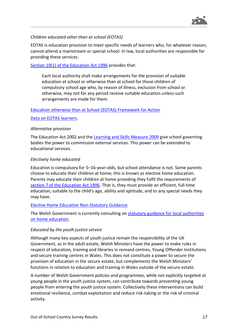

#### *Children educated other than at school (EOTAS)*

EOTAS is education provision to meet specific needs of learners who, for whatever reason, cannot attend a mainstream or special school. In law, local authorities are responsible for providing these services.

#### Section [19\(1\) of the Education Act 1996](http://www.legislation.gov.uk/ukpga/1996/56/section/19/2018-01-25) provides that:

Each local authority shall make arrangements for the provision of suitable education at school or otherwise than at school for those children of compulsory school age who, by reason of illness, exclusion from school or otherwise, may not for any period receive suitable education unless such arrangements are made for them.

#### Education otherwise [than at School \(EOTAS\) Framework for Action](https://gov.wales/sites/default/files/publications/2018-03/education-otherwise-than-at-school-framework-for-action.pdf)

[Data on EOTAS learners.](https://gov.wales/educated-otherwise-school-eotas-census-technical-completion-notes)

#### *Alternative provision*

The Education Act 2002 and the Learning [and Skills Measure 2009](http://www.legislation.gov.uk/mwa/2009/1/contents) give school governing bodies the power to commission external services. This power can be extended to educational services.

#### *Electively home educated*

Education is compulsory for 5–16-year-olds, but school attendance is not. Some parents choose to educate their children at home; this is known as elective home education. Parents may educate their children at home providing they fulfil the requirements of section [7 of the Education Act 1996.](http://www.legislation.gov.uk/ukpga/1996/56/section/7) That is, they must provide an efficient, full-time education, suitable to the child's age, ability and aptitude, and to any special needs they may have.

#### [Elective Home Education Non-Statutory Guidance](https://gov.wales/sites/default/files/publications/2018-03/elective-home-education-non-statutory-guidance-for-local-authorities.pdf)

The Welsh Government is currently consulting on **statutory guidance for local authorities** [on home education.](https://gov.wales/home-education-statutory-guidance-local-authorities-and-handbook-home-educators)

#### *Educated by the youth justice service*

Although many key aspects of youth justice remain the responsibility of the UK Government, as in the adult estate, Welsh Ministers have the power to make rules in respect of education, training and libraries in remand centres, Young Offender Institutions and secure training centres in Wales. This does not constitute a power to secure the provision of education in the secure estate, but complements the Welsh Ministers' functions in relation to education and training in Wales outside of the secure estate.

A number of Welsh Government policies and programmes, while not explicitly targeted at young people in the youth justice system, can contribute towards preventing young people from entering the youth justice system. Collectively these interventions can build emotional resilience, combat exploitation and reduce risk-taking or the risk of criminal activity.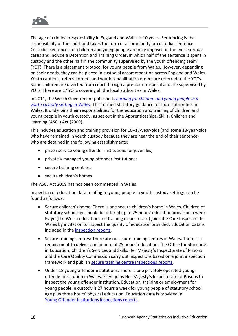

The age of criminal responsibility in England and Wales is 10 years. Sentencing is the responsibility of the court and takes the form of a community or custodial sentence. Custodial sentences for children and young people are only imposed in the most serious cases and include a Detention and Training Order, in which half of the sentence is spent in custody and the other half in the community supervised by the youth offending team (YOT). There is a placement protocol for young people from Wales. However, depending on their needs, they can be placed in custodial accommodation across England and Wales. Youth cautions, referral orders and youth rehabilitation orders are referred to the YOTs. Some children are diverted from court through a pre-court disposal and are supervised by YOTs. There are 17 YOTs covering all the local authorities in Wales.

In 2011, the Welsh Government published *[Learning for children and young people in a](https://gov.wales/learning-children-and-young-people-youth-custody-setting-guidance)  [youth custody setting in Wales](https://gov.wales/learning-children-and-young-people-youth-custody-setting-guidance)*. This formed statutory guidance for local authorities in Wales. It underpins their responsibilities for the education and training of children and young people in youth custody, as set out in the Apprenticeships, Skills, Children and Learning (ASCL) Act (2009).

This includes education and training provision for 10–17-year-olds (and some 18-year-olds who have remained in youth custody because they are near the end of their sentence) who are detained in the following establishments:

- prison service young offender institutions for juveniles;
- privately managed young offender institutions;
- secure training centres;
- secure children's homes.

The ASCL Act 2009 has not been commenced in Wales.

Inspection of education data relating to young people in youth custody settings can be found as follows:

- Secure children's home: There is one secure children's home in Wales. Children of statutory school age should be offered up to 25 hours' education provision a week. Estyn (the Welsh education and training inspectorate) joins the Care Inspectorate Wales by invitation to inspect the quality of education provided. Education data is included in the [inspection reports.](https://www.estyn.gov.wales/inspection)
- Secure training centres: There are no secure training centres in Wales. There is a requirement to deliver a minimum of 25 hours' education. The Office for Standards in Education, Children's Services and Skills, Her Majesty's Inspectorate of Prisons and the Care Quality Commission carry out inspections based on a joint inspection framework and publish [secure training centre inspections reports.](https://www.justiceinspectorates.gov.uk/hmiprisons/inspections?s&prison-inspection-type=secure-training-centre-inspections)
- Under-18 young offender institutions: There is one privately operated young offender institution in Wales. Estyn joins Her Majesty's Inspectorate of Prisons to inspect the young offender institution. Education, training or employment for young people in custody is 27 hours a week for young people of statutory school age plus three hours' physical education. Education data is provided in Young [Offender Institutions inspections reports.](https://www.justiceinspectorates.gov.uk/hmiprisons/)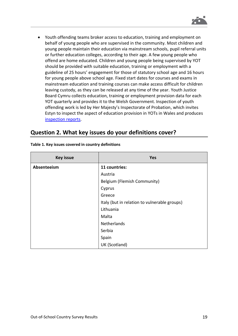• Youth offending teams broker access to education, training and employment on behalf of young people who are supervised in the community. Most children and young people maintain their education via mainstream schools, pupil referral units or further education colleges, according to their age. A few young people who offend are home educated. Children and young people being supervised by YOT should be provided with suitable education, training or employment with a guideline of 25 hours' engagement for those of statutory school age and 16 hours for young people above school age. Fixed start dates for courses and exams in mainstream education and training courses can make access difficult for children leaving custody, as they can be released at any time of the year. Youth Justice Board Cymru collects education, training or employment provision data for each YOT quarterly and provides it to the Welsh Government. Inspection of youth offending work is led by Her Majesty's Inspectorate of Probation, which invites Estyn to inspect the aspect of education provision in YOTs in Wales and produces [inspection reports.](https://www.justiceinspectorates.gov.uk/hmiprobation/inspections/)

### <span id="page-18-0"></span>**Question 2. What key issues do your definitions cover?**

| <b>Key issue</b> | <b>Yes</b>                                   |
|------------------|----------------------------------------------|
| Absenteeism      | 11 countries:                                |
|                  | Austria                                      |
|                  | Belgium (Flemish Community)                  |
|                  | Cyprus                                       |
|                  | Greece                                       |
|                  | Italy (but in relation to vulnerable groups) |
|                  | Lithuania                                    |
|                  | Malta                                        |
|                  | Netherlands                                  |
|                  | Serbia                                       |
|                  | Spain                                        |
|                  | UK (Scotland)                                |

**Table 1. Key issues covered in country definitions**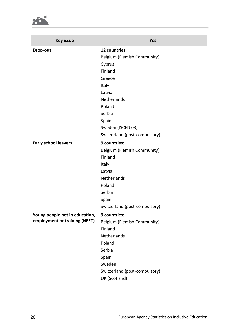

| <b>Key issue</b>                                                | <b>Yes</b>                    |
|-----------------------------------------------------------------|-------------------------------|
| Drop-out                                                        | 12 countries:                 |
|                                                                 | Belgium (Flemish Community)   |
|                                                                 | Cyprus                        |
|                                                                 | Finland                       |
|                                                                 | Greece                        |
|                                                                 | Italy                         |
|                                                                 | Latvia                        |
|                                                                 | Netherlands                   |
|                                                                 | Poland                        |
|                                                                 | Serbia                        |
|                                                                 | Spain                         |
|                                                                 | Sweden (ISCED 03)             |
|                                                                 | Switzerland (post-compulsory) |
| <b>Early school leavers</b>                                     | 9 countries:                  |
|                                                                 | Belgium (Flemish Community)   |
|                                                                 | Finland                       |
|                                                                 | Italy                         |
|                                                                 | Latvia                        |
|                                                                 | Netherlands                   |
|                                                                 | Poland                        |
|                                                                 | Serbia                        |
|                                                                 | Spain                         |
|                                                                 | Switzerland (post-compulsory) |
| Young people not in education,<br>employment or training (NEET) | 9 countries:                  |
|                                                                 | Belgium (Flemish Community)   |
|                                                                 | Finland                       |
|                                                                 | Netherlands                   |
|                                                                 | Poland                        |
|                                                                 | Serbia                        |
|                                                                 | Spain                         |
|                                                                 | Sweden                        |
|                                                                 | Switzerland (post-compulsory) |
|                                                                 | UK (Scotland)                 |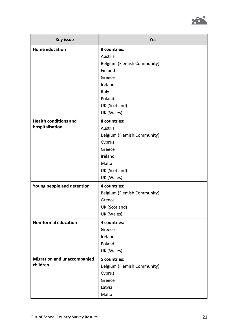

| <b>Key issue</b>                   | <b>Yes</b>                  |
|------------------------------------|-----------------------------|
| <b>Home education</b>              | 9 countries:                |
|                                    | Austria                     |
|                                    | Belgium (Flemish Community) |
|                                    | Finland                     |
|                                    | Greece                      |
|                                    | Ireland                     |
|                                    | Italy                       |
|                                    | Poland                      |
|                                    | UK (Scotland)               |
|                                    | UK (Wales)                  |
| <b>Health conditions and</b>       | 8 countries:                |
| hospitalisation                    | Austria                     |
|                                    | Belgium (Flemish Community) |
|                                    | Cyprus                      |
|                                    | Greece                      |
|                                    | Ireland                     |
|                                    | Malta                       |
|                                    | UK (Scotland)               |
|                                    | UK (Wales)                  |
| Young people and detention         | 4 countries:                |
|                                    | Belgium (Flemish Community) |
|                                    | Greece                      |
|                                    | UK (Scotland)               |
|                                    | UK (Wales)                  |
| <b>Non-formal education</b>        | 4 countries:                |
|                                    | Greece                      |
|                                    | Ireland                     |
|                                    | Poland                      |
|                                    | UK (Wales)                  |
| <b>Migration and unaccompanied</b> | 5 countries:                |
| children                           | Belgium (Flemish Community) |
|                                    | Cyprus                      |
|                                    | Greece                      |
|                                    | Latvia                      |
|                                    | Malta                       |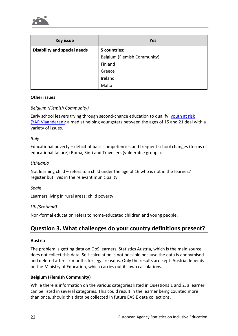

| <b>Key issue</b>                    | Yes                         |
|-------------------------------------|-----------------------------|
| <b>Disability and special needs</b> | 5 countries:                |
|                                     | Belgium (Flemish Community) |
|                                     | Finland                     |
|                                     | Greece                      |
|                                     | Ireland                     |
|                                     | Malta                       |

#### **Other issues**

#### *Belgium (Flemish Community)*

Early school leavers trying through second-chance education to qualify, [youth at risk](https://www.yarvlaanderen.be/over-yar/)  (YAR [Vlaanderen\):](https://www.yarvlaanderen.be/over-yar/) aimed at helping youngsters between the ages of 15 and 21 deal with a variety of issues.

#### *Italy*

Educational poverty – deficit of basic competencies and frequent school changes (forms of educational failure); Roma, Sinti and Travellers (vulnerable groups).

#### *Lithuania*

Not learning child – refers to a child under the age of 16 who is not in the learners' register but lives in the relevant municipality.

#### *Spain*

Learners living in rural areas; child poverty.

#### *UK (Scotland)*

Non-formal education refers to home-educated children and young people.

### <span id="page-21-0"></span>**Question 3. What challenges do your country definitions present?**

#### **Austria**

The problem is getting data on OoS learners. Statistics Austria, which is the main source, does not collect this data. Self-calculation is not possible because the data is anonymised and deleted after six months for legal reasons. Only the results are kept. Austria depends on the Ministry of Education, which carries out its own calculations.

#### **Belgium (Flemish Community)**

While there is information on the various categories listed in Questions 1 and 2, a learner can be listed in several categories. This could result in the learner being counted more than once, should this data be collected in future EASIE data collections.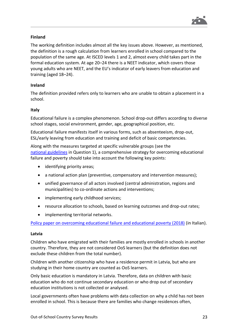

#### **Finland**

The working definition includes almost all the key issues above. However, as mentioned, the definition is a rough calculation from learners enrolled in school compared to the population of the same age. At ISCED levels 1 and 2, almost every child takes part in the formal education system. At age 20–24 there is a NEET indicator, which covers those young adults who are NEET, and the EU's indicator of early leavers from education and training (aged 18–24).

#### **Ireland**

The definition provided refers only to learners who are unable to obtain a placement in a school.

#### **Italy**

Educational failure is a complex phenomenon. School drop-out differs according to diverse school stages, social environment, gender, age, geographical position, etc.

Educational failure manifests itself in various forms, such as absenteeism, drop-out, ESL/early leaving from education and training and deficit of basic competencies.

Along with the measures targeted at specific vulnerable groups (see the national [guidelines](#page-10-0) in Question 1), a comprehensive strategy for overcoming educational failure and poverty should take into account the following key points:

- identifying priority areas;
- a national action plan (preventive, compensatory and intervention measures);
- unified governance of all actors involved (central administration, regions and municipalities) to co-ordinate actions and interventions;
- implementing early childhood services;
- resource allocation to schools, based on learning outcomes and drop-out rates;
- implementing territorial networks.

[Policy paper on overcoming educational failure and educational poverty \(2018\)](https://www.miur.gov.it/documents/20182/0/Rapporto+sul+contrasto+del+fallimento+formativo/7575f155-63f9-479a-a77f-1da743492e92?version=1.0) (in Italian).

#### **Latvia**

Children who have emigrated with their families are mostly enrolled in schools in another country. Therefore, they are not considered OoS learners (but the definition does not exclude these children from the total number).

Children with another citizenship who have a residence permit in Latvia, but who are studying in their home country are counted as OoS learners.

Only basic education is mandatory in Latvia. Therefore, data on children with basic education who do not continue secondary education or who drop out of secondary education institutions is not collected or analysed.

Local governments often have problems with data collection on why a child has not been enrolled in school. This is because there are families who change residences often,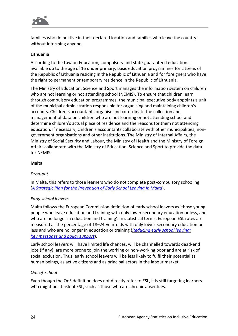

families who do not live in their declared location and families who leave the country without informing anyone.

#### **Lithuania**

According to the Law on Education, compulsory and state-guaranteed education is available up to the age of 16 under primary, basic education programmes for citizens of the Republic of Lithuania residing in the Republic of Lithuania and for foreigners who have the right to permanent or temporary residence in the Republic of Lithuania.

The Ministry of Education, Science and Sport manages the information system on children who are not learning or not attending school (NEMIS). To ensure that children learn through compulsory education programmes, the municipal executive body appoints a unit of the municipal administration responsible for organising and maintaining children's accounts. Children's accountants organise and co-ordinate the collection and management of data on children who are not learning or not attending school and determine children's actual place of residence and the reasons for them not attending education. If necessary, children's accountants collaborate with other municipalities, nongovernment organisations and other institutions. The Ministry of Internal Affairs, the Ministry of Social Security and Labour, the Ministry of Health and the Ministry of Foreign Affairs collaborate with the Ministry of Education, Science and Sport to provide the data for NEMIS.

#### **Malta**

#### *Drop-out*

In Malta, this refers to those learners who do not complete post-compulsory schooling (*A [Strategic Plan for the Prevention of Early School Leaving in Malta](https://education.gov.mt/en/resources/Documents/Policy%20Documents%202014/School%20Leaving%20in%20Malta%20June%202014.pdf)*).

#### *Early school leavers*

Malta follows the European Commission definition of early school leavers as 'those young people who leave education and training with only lower secondary education or less, and who are no longer in education and training'. In statistical terms, European ESL rates are measured as the percentage of 18–24-year-olds with only lower-secondary education or less and who are no longer in education or training (*[Reducing early school leaving:](https://ec.europa.eu/assets/eac/education/experts-groups/2011-2013/esl/esl-group-report_en.pdf)  Key [messages and policy support](https://ec.europa.eu/assets/eac/education/experts-groups/2011-2013/esl/esl-group-report_en.pdf)*).

Early school leavers will have limited life chances, will be channelled towards dead-end jobs (if any), are more prone to join the working or non-working poor and are at risk of social exclusion. Thus, early school leavers will be less likely to fulfil their potential as human beings, as active citizens and as principal actors in the labour market.

#### *Out-of-school*

Even though the OoS definition does not directly refer to ESL, it is still targeting learners who might be at risk of ESL, such as those who are chronic absentees.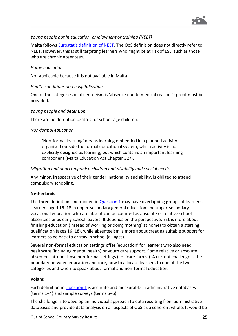

#### *Young people not in education, employment or training (NEET)*

Malta follows [Eurostat's definition of NEET](https://ec.europa.eu/eurostat/statistics-explained/index.php/Glossary:Young_people_neither_in_employment_nor_in_education_and_training_(NEET)). The OoS definition does not directly refer to NEET. However, this is still targeting learners who might be at risk of ESL, such as those who are chronic absentees.

#### *Home education*

Not applicable because it is not available in Malta.

#### *Health conditions and hospitalisation*

One of the categories of absenteeism is 'absence due to medical reasons'; proof must be provided.

#### *Young people and detention*

There are no detention centres for school-age children.

#### *Non-formal education*

'Non-formal learning' means learning embedded in a planned activity organised outside the formal educational system, which activity is not explicitly designed as learning, but which contains an important learning component (Malta Education Act Chapter 327).

#### *Migration and unaccompanied children and disability and special needs*

Any minor, irrespective of their gender, nationality and ability, is obliged to attend compulsory schooling.

#### **Netherlands**

The three definitions mentioned in  $Question 1$  may have overlapping groups of learners. Learners aged 16–18 in upper-secondary general education and upper-secondary vocational education who are absent can be counted as absolute or relative school absentees or as early school leavers. It depends on the perspective: ESL is more about finishing education (instead of working or doing 'nothing' at home) to obtain a starting qualification (ages 16–18), while absenteeism is more about creating suitable support for learners to go back to or stay in school (all ages).

Several non-formal education settings offer 'education' for learners who also need healthcare (including mental health) or youth care support. Some relative or absolute absentees attend those non-formal settings (i.e. 'care farms'). A current challenge is the boundary between education and care, how to allocate learners to one of the two categories and when to speak about formal and non-formal education.

#### **Poland**

Each definition in [Question](#page-5-1) 1 is accurate and measurable in administrative databases (terms 1–4) and sample surveys (terms 5–6).

The challenge is to develop an individual approach to data resulting from administrative databases and provide data analysis on all aspects of OoS as a coherent whole. It would be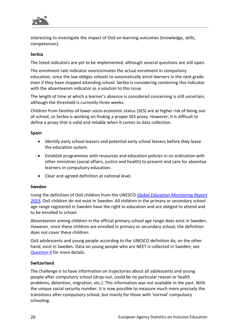

interesting to investigate the impact of OoS on learning outcomes (knowledge, skills, competences).

#### **Serbia**

The listed indicators are yet to be implemented, although several questions are still open.

The enrolment rate indicator overestimates the actual enrolment in compulsory education, since the law obliges schools to automatically enrol learners in the next grade even if they have stopped attending school. Serbia is considering combining this indicator with the absenteeism indicator as a solution to this issue.

The length of time at which a learner's absence is considered concerning is still uncertain, although the threshold is currently three weeks.

Children from families of lower socio-economic status (SES) are at higher risk of being outof-school, so Serbia is working on finding a proper SES proxy. However, it is difficult to define a proxy that is valid and reliable when it comes to data collection.

#### **Spain**

- Identify early school leavers and potential early school leavers before they leave the education system.
- Establish programmes with resources and education policies in co-ordination with other ministries (social affairs, justice and health) to prevent and care for absentee learners in compulsory education.
- Clear and agreed definition at national level.

#### **Sweden**

Using the definition of OoS children from the UNESCO *[Global Education Monitoring Report](https://gem-report-2019.unesco.org/)  [2019](https://gem-report-2019.unesco.org/)*, OoS children do not exist in Sweden. All children in the primary or secondary school age range registered in Sweden have the right to education and are obliged to attend and to be enrolled in school.

Absenteeism among children in the official primary school age range does exist in Sweden. However, since these children are enrolled in primary or secondary school, the definition does not cover these children.

OoS adolescents and young people according to the UNESCO definition do, on the other hand, exist in Sweden. Data on young people who are NEET is collected in Sweden; see [Question](#page-27-1) 4 for more details.

#### **Switzerland**

The challenge is to have information on trajectories about all adolescents and young people after compulsory school (drop-out, could be no particular reason or health problems, detention, migration, etc.). This information was not available in the past. With the unique social security number, it is now possible to measure much more precisely the transitions after compulsory school, but mainly for those with 'normal' compulsory schooling.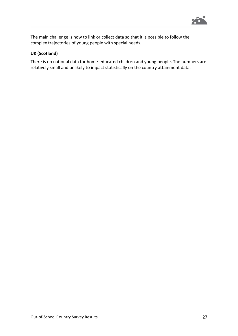

The main challenge is now to link or collect data so that it is possible to follow the complex trajectories of young people with special needs.

#### **UK (Scotland)**

There is no national data for home-educated children and young people. The numbers are relatively small and unlikely to impact statistically on the country attainment data.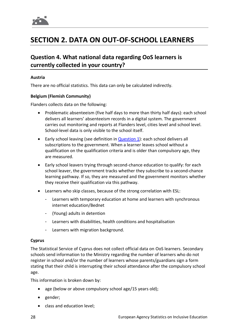

# <span id="page-27-0"></span>**SECTION 2. DATA ON OUT-OF-SCHOOL LEARNERS**

### <span id="page-27-1"></span>**Question 4. What national data regarding OoS learners is currently collected in your country?**

#### **Austria**

There are no official statistics. This data can only be calculated indirectly.

#### **Belgium (Flemish Community)**

Flanders collects data on the following:

- Problematic absenteeism (five half days to more than thirty half days): each school delivers all learners' absenteeism records in a digital system. The government carries out monitoring and reports at Flanders level, cities level and school level. School-level data is only visible to the school itself.
- Early school leaving (see definition in **[Question](#page-5-1) 1**): each school delivers all subscriptions to the government. When a learner leaves school without a qualification on the qualification criteria and is older than compulsory age, they are measured.
- Early school leavers trying through second-chance education to qualify: for each school leaver, the government tracks whether they subscribe to a second-chance learning pathway. If so, they are measured and the government monitors whether they receive their qualification via this pathway.
- Learners who skip classes, because of the strong correlation with ESL:
	- Learners with temporary education at home and learners with synchronous internet education/Bednet
	- (Young) adults in detention
	- Learners with disabilities, health conditions and hospitalisation
	- Learners with migration background.

#### **Cyprus**

The Statistical Service of Cyprus does not collect official data on OoS learners. Secondary schools send information to the Ministry regarding the number of learners who do not register in school and/or the number of learners whose parents/guardians sign a form stating that their child is interrupting their school attendance after the compulsory school age.

This information is broken down by:

- age (below or above compulsory school age/15 years old);
- gender;
- class and education level;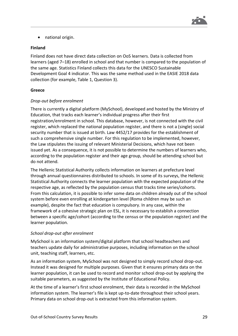

• national origin.

#### **Finland**

Finland does not have direct data collection on OoS learners. Data is collected from learners (aged 7–18) enrolled in school and that number is compared to the population of the same age. Statistics Finland collects this data for the UNESCO Sustainable Development Goal 4 indicator. This was the same method used in the EASIE 2018 data collection (for example, Table 1, Question 3).

#### **Greece**

#### *Drop-out before enrolment*

There is currently a digital platform (MySchool), developed and hosted by the Ministry of Education, that tracks each learner's individual progress after their first registration/enrolment in school. This database, however, is not connected with the civil register, which replaced the national population register, and there is not a (single) social security number that is issued at birth. Law 4452/17 provides for the establishment of such a comprehensive single number. For this regulation to be implemented, however, the Law stipulates the issuing of relevant Ministerial Decisions, which have not been issued yet. As a consequence, it is not possible to determine the numbers of learners who, according to the population register and their age group, should be attending school but do not attend.

The Hellenic Statistical Authority collects information on learners at prefecture level through annual questionnaires distributed to schools. In some of its surveys, the Hellenic Statistical Authority connects the learner population with the expected population of the respective age, as reflected by the population census that tracks time series/cohorts. From this calculation, it is possible to infer some data on children already out of the school system before even enrolling at kindergarten level (Roma children may be such an example), despite the fact that education is compulsory. In any case, within the framework of a cohesive strategic plan on ESL, it is necessary to establish a connection between a specific age/cohort (according to the census or the population register) and the learner population.

#### *School drop-out after enrolment*

MySchool is an information system/digital platform that school headteachers and teachers update daily for administrative purposes, including information on the school unit, teaching staff, learners, etc.

As an information system, MySchool was not designed to simply record school drop-out. Instead it was designed for multiple purposes. Given that it ensures primary data on the learner population, it can be used to record and monitor school drop-out by applying the suitable parameters, as suggested by the Institute of Educational Policy.

At the time of a learner's first school enrolment, their data is recorded in the MySchool information system. The learner's file is kept up-to-date throughout their school years. Primary data on school drop-out is extracted from this information system.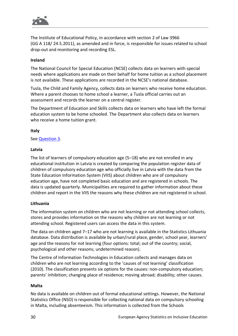

The Institute of Educational Policy, in accordance with section 2 of Law 3966 (GG A 118/ 24.5.2011), as amended and in force, is responsible for issues related to school drop-out and monitoring and recording ESL.

#### **Ireland**

The National Council for Special Education (NCSE) collects data on learners with special needs where applications are made on their behalf for home tuition as a school placement is not available. These applications are recorded in the NCSE's national database.

Tusla, the Child and Family Agency, collects data on learners who receive home education. Where a parent chooses to home school a learner, a Tusla official carries out an assessment and records the learner on a central register.

The Department of Education and Skills collects data on learners who have left the formal education system to be home schooled. The Department also collects data on learners who receive a home tuition grant.

#### **Italy**

#### See [Question](#page-21-0) 3.

#### **Latvia**

The list of learners of compulsory education age (5–18) who are not enrolled in any educational institution in Latvia is created by comparing the population register data of children of compulsory education age who officially live in Latvia with the data from the State Education Information System (VIIS) about children who are of compulsory education age, have not completed basic education and are registered in schools. The data is updated quarterly. Municipalities are required to gather information about these children and report in the VIIS the reasons why these children are not registered in school.

#### **Lithuania**

The information system on children who are not learning or not attending school collects, stores and provides information on the reasons why children are not learning or not attending school. Registered users can access the data in this system.

The data on children aged 7–17 who are not learning is available in the Statistics Lithuania database. Data distribution is available by urban/rural place, gender, school year, learners' age and the reasons for not learning (four options: total; out of the country; social, psychological and other reasons; undetermined reason).

The Centre of Information Technologies in Education collects and manages data on children who are not learning according to the 'causes of not learning' classification (2010). The classification presents six options for the causes: non-compulsory education; parents' inhibition; changing place of residence; moving abroad; disability; other causes.

#### **Malta**

No data is available on children out of formal educational settings. However, the National Statistics Office (NSO) is responsible for collecting national data on compulsory schooling in Malta, including absenteeism. This information is collected from the Schools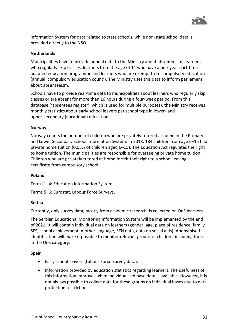

Information System for data related to state schools, while non-state school data is provided directly to the NSO.

#### **Netherlands**

Municipalities have to provide annual data to the Ministry about absenteeism, learners who regularly skip classes, learners from the age of 14 who have a one-year part-time adapted education programme and learners who are exempt from compulsory education (annual 'compulsory education count'). The Ministry uses this data to inform parliament about absenteeism.

Schools have to provide real-time data to municipalities about learners who regularly skip classes or are absent for more than 16 hours during a four-week period. From this database ('absentees register', which is used for multiple purposes), the Ministry receives monthly statistics about early school leavers per school type in lower- and upper-secondary (vocational) education.

#### **Norway**

Norway counts the number of children who are privately tutored at home in the Primary and Lower Secondary School Information System. In 2018, 184 children from age 6–15 had private home tuition (0.03% of children aged 6–15). The Education Act regulates the right to home tuition. The municipalities are responsible for overseeing private home tuition. Children who are privately tutored at home forfeit their right to a school leaving certificate from compulsory school.

#### **Poland**

Terms 1–4: Education Information System

Terms 5–6: Eurostat, Labour Force Surveys.

#### **Serbia**

Currently, only survey data, mostly from academic research, is collected on OoS learners.

The Serbian Educational Monitoring Information System will be implemented by the end of 2021. It will contain individual data on learners (gender, age, place of residence, family SES, school achievement, mother language, SEN data, data on social aids). Anonymised identification will make it possible to monitor relevant groups of children, including those in the OoS category.

#### **Spain**

- Early school leavers (Labour Force Survey data).
- Information provided by education statistics regarding learners. The usefulness of this information improves when individualised base data is available. However, it is not always possible to collect data for these groups on individual bases due to data protection restrictions.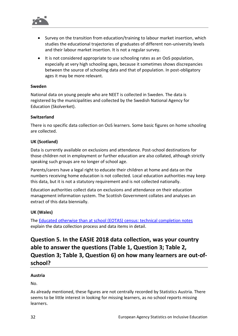

- Survey on the transition from education/training to labour market insertion, which studies the educational trajectories of graduates of different non-university levels and their labour market insertion. It is not a regular survey.
- It is not considered appropriate to use schooling rates as an OoS population, especially at very high schooling ages, because it sometimes shows discrepancies between the source of schooling data and that of population. In post-obligatory ages it may be more relevant.

#### **Sweden**

National data on young people who are NEET is collected in Sweden. The data is registered by the municipalities and collected by the Swedish National Agency for Education (Skolverket).

#### **Switzerland**

There is no specific data collection on OoS learners. Some basic figures on home schooling are collected.

#### **UK (Scotland)**

Data is currently available on exclusions and attendance. Post-school destinations for those children not in employment or further education are also collated, although strictly speaking such groups are no longer of school age.

Parents/carers have a legal right to educate their children at home and data on the numbers receiving home education is not collected. Local education authorities may keep this data, but it is not a statutory requirement and is not collected nationally.

Education authorities collect data on exclusions and attendance on their education management information system. The Scottish Government collates and analyses an extract of this data biennially.

#### **UK (Wales)**

The [Educated otherwise than at school \(EOTAS\) census: technical completion notes](https://gov.wales/educated-otherwise-school-eotas-census-technical-completion-notes) explain the data collection process and data items in detail.

# <span id="page-31-0"></span>**Question 5. In the EASIE 2018 data collection, was your country able to answer the questions (Table 1, Question 3; Table 2, Question 3; Table 3, Question 6) on how many learners are out-ofschool?**

#### **Austria**

No.

As already mentioned, these figures are not centrally recorded by Statistics Austria. There seems to be little interest in looking for missing learners, as no school reports missing learners.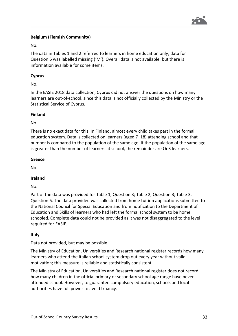

#### **Belgium (Flemish Community)**

No.

The data in Tables 1 and 2 referred to learners in home education only; data for Question 6 was labelled missing ('M'). Overall data is not available, but there is information available for some items.

#### **Cyprus**

No.

In the EASIE 2018 data collection, Cyprus did not answer the questions on how many learners are out-of-school, since this data is not officially collected by the Ministry or the Statistical Service of Cyprus.

#### **Finland**

No.

There is no exact data for this. In Finland, almost every child takes part in the formal education system. Data is collected on learners (aged 7–18) attending school and that number is compared to the population of the same age. If the population of the same age is greater than the number of learners at school, the remainder are OoS learners.

#### **Greece**

No.

#### **Ireland**

No.

Part of the data was provided for Table 1, Question 3; Table 2, Question 3; Table 3, Question 6. The data provided was collected from home tuition applications submitted to the National Council for Special Education and from notification to the Department of Education and Skills of learners who had left the formal school system to be home schooled. Complete data could not be provided as it was not disaggregated to the level required for EASIE.

#### **Italy**

Data not provided, but may be possible.

The Ministry of Education, Universities and Research national register records how many learners who attend the Italian school system drop out every year without valid motivation; this measure is reliable and statistically consistent.

The Ministry of Education, Universities and Research national register does not record how many children in the official primary or secondary school age range have never attended school. However, to guarantee compulsory education, schools and local authorities have full power to avoid truancy.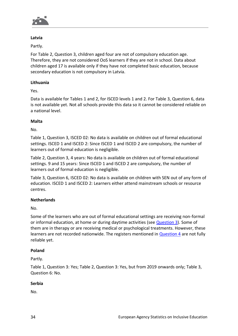

#### **Latvia**

Partly.

For Table 2, Question 3, children aged four are not of compulsory education age. Therefore, they are not considered OoS learners if they are not in school. Data about children aged 17 is available only if they have not completed basic education, because secondary education is not compulsory in Latvia.

#### **Lithuania**

Yes.

Data is available for Tables 1 and 2, for ISCED levels 1 and 2. For Table 3, Question 6, data is not available yet. Not all schools provide this data so it cannot be considered reliable on a national level.

#### **Malta**

No.

Table 1, Question 3, ISCED 02: No data is available on children out of formal educational settings. ISCED 1 and ISCED 2: Since ISCED 1 and ISCED 2 are compulsory, the number of learners out of formal education is negligible.

Table 2, Question 3, 4 years: No data is available on children out of formal educational settings. 9 and 15 years: Since ISCED 1 and ISCED 2 are compulsory, the number of learners out of formal education is negligible.

Table 3, Question 6, ISCED 02: No data is available on children with SEN out of any form of education. ISCED 1 and ISCED 2: Learners either attend mainstream schools or resource centres.

#### **Netherlands**

No.

Some of the learners who are out of formal educational settings are receiving non-formal or informal education, at home or during daytime activities (see [Question](#page-21-0) 3). Some of them are in therapy or are receiving medical or psychological treatments. However, these learners are not recorded nationwide. The registers mentioned in [Question](#page-27-1) 4 are not fully reliable yet.

#### **Poland**

Partly.

Table 1, Question 3: Yes; Table 2, Question 3: Yes, but from 2019 onwards only; Table 3, Question 6: No.

#### **Serbia**

No.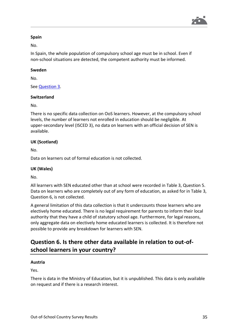

#### **Spain**

No.

In Spain, the whole population of compulsory school age must be in school. Even if non-school situations are detected, the competent authority must be informed.

#### **Sweden**

No.

See [Question](#page-21-0) 3.

#### **Switzerland**

No.

There is no specific data collection on OoS learners. However, at the compulsory school levels, the number of learners not enrolled in education should be negligible. At upper-secondary level (ISCED 3), no data on learners with an official decision of SEN is available.

#### **UK (Scotland)**

No.

Data on learners out of formal education is not collected.

#### **UK (Wales)**

No.

All learners with SEN educated other than at school were recorded in Table 3, Question 5. Data on learners who are completely out of any form of education, as asked for in Table 3, Question 6, is not collected.

A general limitation of this data collection is that it undercounts those learners who are electively home educated. There is no legal requirement for parents to inform their local authority that they have a child of statutory school age. Furthermore, for legal reasons, only aggregate data on electively home educated learners is collected. It is therefore not possible to provide any breakdown for learners with SEN.

### <span id="page-34-0"></span>**Question 6. Is there other data available in relation to out-ofschool learners in your country?**

#### **Austria**

Yes.

There is data in the Ministry of Education, but it is unpublished. This data is only available on request and if there is a research interest.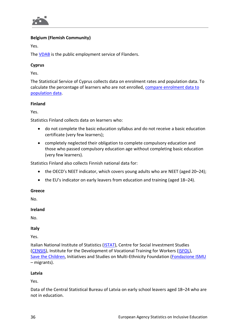

#### **Belgium (Flemish Community)**

Yes.

The **VDAB** is the public employment service of Flanders.

#### **Cyprus**

Yes.

The Statistical Service of Cyprus collects data on enrolment rates and population data. To calculate the percentage of learners who are not enrolled, [compare enrolment data to](https://www.mof.gov.cy/mof/cystat/statistics.nsf/populationcondition_24main_en/populationcondition_24main_en?OpenForm&sub=4&sel=2)  [population data.](https://www.mof.gov.cy/mof/cystat/statistics.nsf/populationcondition_24main_en/populationcondition_24main_en?OpenForm&sub=4&sel=2)

#### **Finland**

Yes.

Statistics Finland collects data on learners who:

- do not complete the basic education syllabus and do not receive a basic education certificate (very few learners);
- completely neglected their obligation to complete compulsory education and those who passed compulsory education age without completing basic education (very few learners).

Statistics Finland also collects Finnish national data for:

- the OECD's NEET indicator, which covers young adults who are NEET (aged 20-24);
- the EU's indicator on early leavers from education and training (aged 18–24).

#### **Greece**

No.

#### **Ireland**

No.

#### **Italy**

Yes.

Italian National Institute of Statistics [\(ISTAT\)](https://www.istat.it/), Centre for Social Investment Studies [\(CENSIS\)](http://www.censis.it/), Institute for the Development of Vocational Training for Workers [\(ISFOL\)](https://www.isfol.it/), Save [the Children,](https://www.savethechildren.it/) Initiatives and Studies on Multi-Ethnicity Foundation [\(Fondazione ISMU](http://www.ismu.org/) – migrants).

#### **Latvia**

Yes.

Data of the Central Statistical Bureau of Latvia on early school leavers aged 18–24 who are not in education.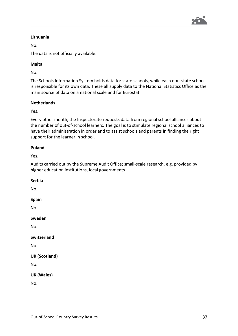

#### **Lithuania**

No.

The data is not officially available.

#### **Malta**

No.

The Schools Information System holds data for state schools, while each non-state school is responsible for its own data. These all supply data to the National Statistics Office as the main source of data on a national scale and for Eurostat.

#### **Netherlands**

Yes.

Every other month, the Inspectorate requests data from regional school alliances about the number of out-of-school learners. The goal is to stimulate regional school alliances to have their administration in order and to assist schools and parents in finding the right support for the learner in school.

#### **Poland**

Yes.

Audits carried out by the Supreme Audit Office; small-scale research, e.g. provided by higher education institutions, local governments.

#### **Serbia**

No.

#### **Spain**

No.

**Sweden**

No.

#### **Switzerland**

No.

```
UK (Scotland)
```
No.

#### **UK (Wales)**

No.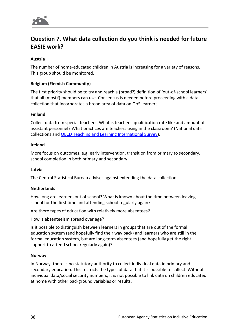

## <span id="page-37-0"></span>**Question 7. What data collection do you think is needed for future EASIE work?**

#### **Austria**

The number of home-educated children in Austria is increasing for a variety of reasons. This group should be monitored.

#### **Belgium (Flemish Community)**

The first priority should be to try and reach a (broad?) definition of 'out-of-school learners' that all (most?) members can use. Consensus is needed before proceeding with a data collection that incorporates a broad area of data on OoS learners.

#### **Finland**

Collect data from special teachers. What is teachers' qualification rate like and amount of assistant personnel? What practices are teachers using in the classroom? (National data collections and [OECD Teaching and Learning International Survey\)](http://www.oecd.org/education/talis/).

#### **Ireland**

More focus on outcomes, e.g. early intervention, transition from primary to secondary, school completion in both primary and secondary.

#### **Latvia**

The Central Statistical Bureau advises against extending the data collection.

#### **Netherlands**

How long are learners out of school? What is known about the time between leaving school for the first time and attending school regularly again?

Are there types of education with relatively more absentees?

How is absenteeism spread over age?

Is it possible to distinguish between learners in groups that are out of the formal education system (and hopefully find their way back) and learners who are still in the formal education system, but are long-term absentees (and hopefully get the right support to attend school regularly again)?

#### **Norway**

In Norway, there is no statutory authority to collect individual data in primary and secondary education. This restricts the types of data that it is possible to collect. Without individual data/social security numbers, it is not possible to link data on children educated at home with other background variables or results.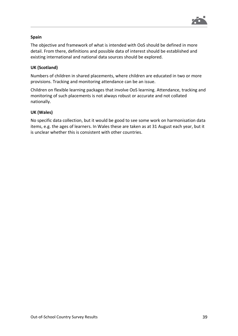

#### **Spain**

The objective and framework of what is intended with OoS should be defined in more detail. From there, definitions and possible data of interest should be established and existing international and national data sources should be explored.

#### **UK (Scotland)**

Numbers of children in shared placements, where children are educated in two or more provisions. Tracking and monitoring attendance can be an issue.

Children on flexible learning packages that involve OoS learning. Attendance, tracking and monitoring of such placements is not always robust or accurate and not collated nationally.

#### **UK (Wales)**

No specific data collection, but it would be good to see some work on harmonisation data items, e.g. the ages of learners. In Wales these are taken as at 31 August each year, but it is unclear whether this is consistent with other countries.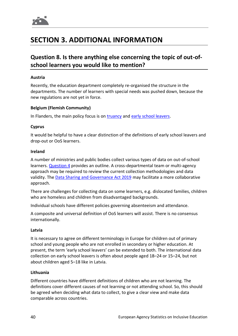

# <span id="page-39-0"></span>**SECTION 3. ADDITIONAL INFORMATION**

### <span id="page-39-1"></span>**Question 8. Is there anything else concerning the topic of out-ofschool learners you would like to mention?**

#### **Austria**

Recently, the education department completely re-organised the structure in the departments. The number of learners with special needs was pushed down, because the new regulations are not yet in force.

#### **Belgium (Flemish Community)**

In Flanders, the main policy focus is on [truancy](https://www.agodi.be/sites/default/files/atoms/files/Rapport_AGODI_leerplicht-2014-2015.pdf) and [early school leavers.](https://www.onderwijs.vlaanderen.be/nl/vroegtijdig-schoolverlaten-in-het-vlaams-secundair-onderwijs)

#### **Cyprus**

It would be helpful to have a clear distinction of the definitions of early school leavers and drop-out or OoS learners.

#### **Ireland**

A number of ministries and public bodies collect various types of data on out-of-school learners. [Question](#page-27-1) 4 provides an outline. A cross-departmental team or multi-agency approach may be required to review the current collection methodologies and data validity. The [Data Sharing and Governance Act 2019](http://www.irishstatutebook.ie/eli/2019/act/5/enacted/en/html) may facilitate a more collaborative approach.

There are challenges for collecting data on some learners, e.g. dislocated families, children who are homeless and children from disadvantaged backgrounds.

Individual schools have different policies governing absenteeism and attendance.

A composite and universal definition of OoS learners will assist. There is no consensus internationally.

#### **Latvia**

It is necessary to agree on different terminology in Europe for children out of primary school and young people who are not enrolled in secondary or higher education. At present, the term 'early school leavers' can be extended to both. The international data collection on early school leavers is often about people aged 18–24 or 15–24, but not about children aged 5–18 like in Latvia.

#### **Lithuania**

Different countries have different definitions of children who are not learning. The definitions cover different causes of not learning or not attending school. So, this should be agreed when deciding what data to collect, to give a clear view and make data comparable across countries.